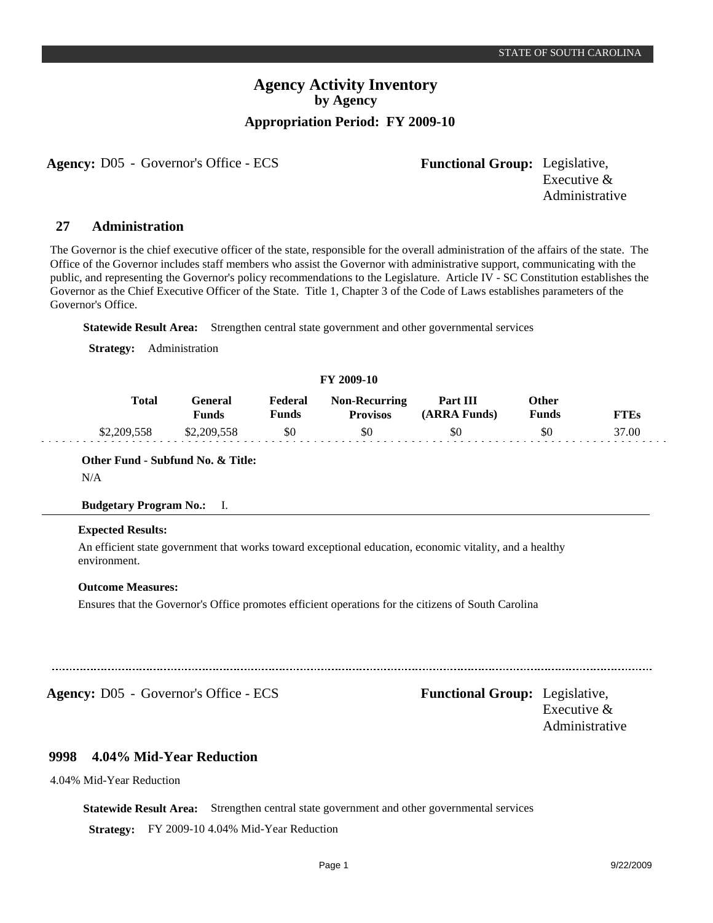## **Agency Activity Inventory by Agency Appropriation Period: FY 2009-10**

**Agency:** D05 - Governor's Office - ECS Functional Group: Legislative,

Executive & Administrative

#### **Administration 27**

The Governor is the chief executive officer of the state, responsible for the overall administration of the affairs of the state. The Office of the Governor includes staff members who assist the Governor with administrative support, communicating with the public, and representing the Governor's policy recommendations to the Legislature. Article IV - SC Constitution establishes the Governor as the Chief Executive Officer of the State. Title 1, Chapter 3 of the Code of Laws establishes parameters of the Governor's Office.

**Statewide Result Area:** Strengthen central state government and other governmental services

**Strategy:** Administration

## **FY 2009-10**

| Total       | General<br><b>Funds</b> | Federal<br>Funds | <b>Non-Recurring</b><br><b>Provisos</b> | Part III<br>(ARRA Funds) | Other<br><b>Funds</b> | <b>FTEs</b> |
|-------------|-------------------------|------------------|-----------------------------------------|--------------------------|-----------------------|-------------|
| \$2.209.558 | \$2,209,558             | - \$0            | \$0                                     | \$0                      | SO.                   | 37.00       |

**Other Fund - Subfund No. & Title:**

N/A

### **Budgetary Program No.:** I.

### **Expected Results:**

An efficient state government that works toward exceptional education, economic vitality, and a healthy environment.

### **Outcome Measures:**

Ensures that the Governor's Office promotes efficient operations for the citizens of South Carolina

Agency: D05 - Governor's Office - ECS Functional Group: Legislative,

Executive & Administrative

#### **4.04% Mid-Year Reduction 9998**

4.04% Mid-Year Reduction

**Statewide Result Area:** Strengthen central state government and other governmental services

**Strategy:** FY 2009-10 4.04% Mid-Year Reduction